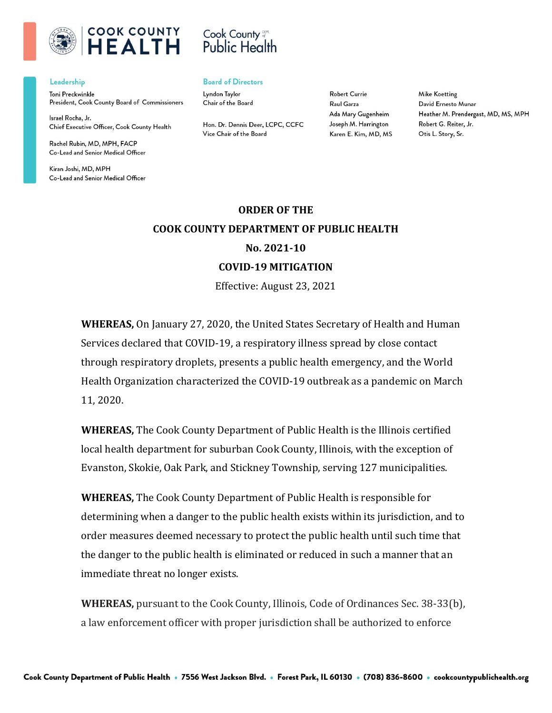

## Cook County **Public Health**

#### Leadership

Toni Preckwinkle President, Cook County Board of Commissioners

Israel Rocha, Jr. Chief Executive Officer, Cook County Health

Rachel Rubin, MD, MPH, FACP Co-Lead and Senior Medical Officer

Kiran Joshi, MD, MPH Co-Lead and Senior Medical Officer

### **Board of Directors**

Lyndon Taylor Chair of the Board

Hon. Dr. Dennis Deer, LCPC, CCFC Vice Chair of the Board

**Robert Currie** Raul Garza Ada Mary Gugenheim Joseph M. Harrington Karen E. Kim, MD, MS

**Mike Koetting** David Ernesto Munar Heather M. Prendergast, MD, MS, MPH Robert G. Reiter, Jr. Otis L. Story, Sr.

# **ORDER OF THE COOK COUNTY DEPARTMENT OF PUBLIC HEALTH No. 2021-10 COVID-19 MITIGATION**

Effective: August 23, 2021

**WHEREAS,** On January 27, 2020, the United States Secretary of Health and Human Services declared that COVID-19, a respiratory illness spread by close contact through respiratory droplets, presents a public health emergency, and the World Health Organization characterized the COVID-19 outbreak as a pandemic on March 11, 2020.

**WHEREAS,** The Cook County Department of Public Health is the Illinois certified local health department for suburban Cook County, Illinois, with the exception of Evanston, Skokie, Oak Park, and Stickney Township, serving 127 municipalities.

**WHEREAS,** The Cook County Department of Public Health is responsible for determining when a danger to the public health exists within its jurisdiction, and to order measures deemed necessary to protect the public health until such time that the danger to the public health is eliminated or reduced in such a manner that an immediate threat no longer exists.

**WHEREAS,** pursuant to the Cook County, Illinois, Code of Ordinances Sec. 38-33(b), a law enforcement officer with proper jurisdiction shall be authorized to enforce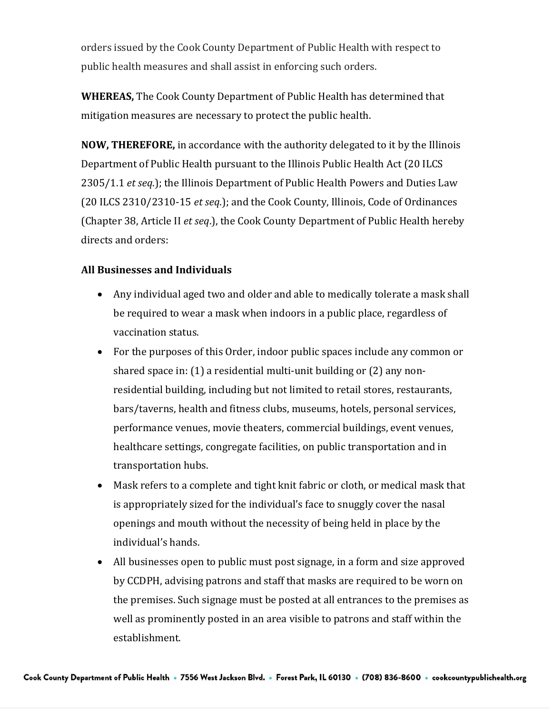orders issued by the Cook County Department of Public Health with respect to public health measures and shall assist in enforcing such orders.

**WHEREAS,** The Cook County Department of Public Health has determined that mitigation measures are necessary to protect the public health.

**NOW, THEREFORE,** in accordance with the authority delegated to it by the Illinois Department of Public Health pursuant to the Illinois Public Health Act (20 ILCS 2305/1.1 *et seq*.); the Illinois Department of Public Health Powers and Duties Law (20 ILCS 2310/2310-15 *et seq*.); and the Cook County, Illinois, Code of Ordinances (Chapter 38, Article II *et seq*.), the Cook County Department of Public Health hereby directs and orders:

### **All Businesses and Individuals**

- Any individual aged two and older and able to medically tolerate a mask shall be required to wear a mask when indoors in a public place, regardless of vaccination status.
- For the purposes of this Order, indoor public spaces include any common or shared space in: (1) a residential multi-unit building or (2) any nonresidential building, including but not limited to retail stores, restaurants, bars/taverns, health and fitness clubs, museums, hotels, personal services, performance venues, movie theaters, commercial buildings, event venues, healthcare settings, congregate facilities, on public transportation and in transportation hubs.
- Mask refers to a complete and tight knit fabric or cloth, or medical mask that is appropriately sized for the individual's face to snuggly cover the nasal openings and mouth without the necessity of being held in place by the individual's hands.
- All businesses open to public must post signage, in a form and size approved by CCDPH, advising patrons and staff that masks are required to be worn on the premises. Such signage must be posted at all entrances to the premises as well as prominently posted in an area visible to patrons and staff within the establishment.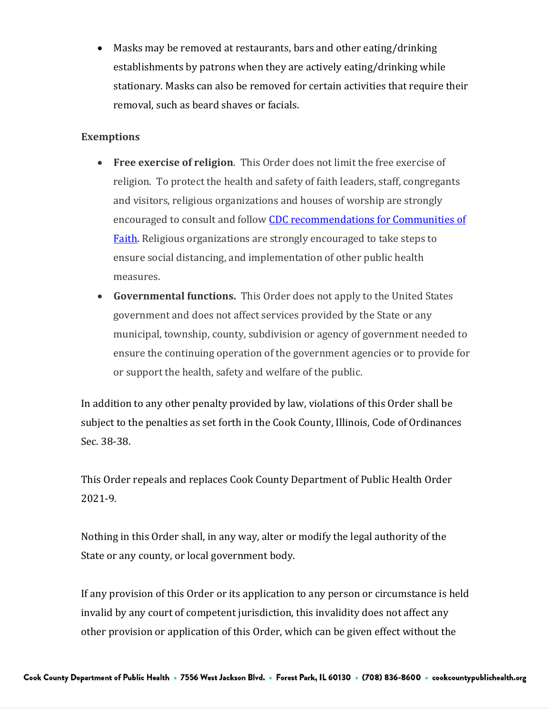• Masks may be removed at restaurants, bars and other eating/drinking establishments by patrons when they are actively eating/drinking while stationary. Masks can also be removed for certain activities that require their removal, such as beard shaves or facials.

## **Exemptions**

- **Free exercise of religion**. This Order does not limit the free exercise of religion. To protect the health and safety of faith leaders, staff, congregants and visitors, religious organizations and houses of worship are strongly encouraged to consult and follow CDC [recommendations for Communities of](https://www.cdc.gov/coronavirus/2019-ncov/community/faith-based.html)  [Faith.](https://www.cdc.gov/coronavirus/2019-ncov/community/faith-based.html) Religious organizations are strongly encouraged to take steps to ensure social distancing, and implementation of other public health measures.
- **Governmental functions.** This Order does not apply to the United States government and does not affect services provided by the State or any municipal, township, county, subdivision or agency of government needed to ensure the continuing operation of the government agencies or to provide for or support the health, safety and welfare of the public.

In addition to any other penalty provided by law, violations of this Order shall be subject to the penalties as set forth in the Cook County, Illinois, Code of Ordinances Sec. 38-38.

This Order repeals and replaces Cook County Department of Public Health Order 2021-9.

Nothing in this Order shall, in any way, alter or modify the legal authority of the State or any county, or local government body.

If any provision of this Order or its application to any person or circumstance is held invalid by any court of competent jurisdiction, this invalidity does not affect any other provision or application of this Order, which can be given effect without the